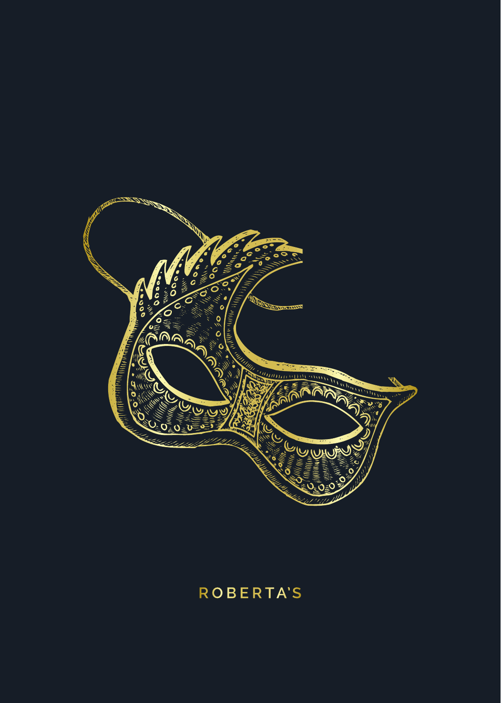

# **ROBERTA'S**